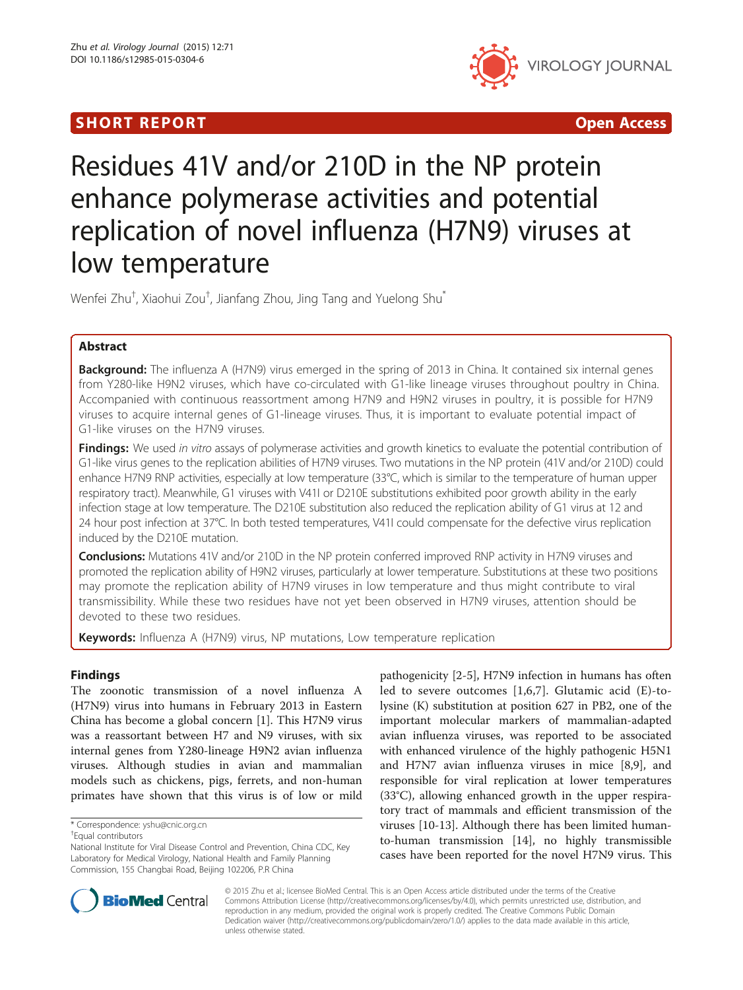## **SHORT REPORT CONSUMING THE SHORT CONSUMING THE SHORT CONSUMING THE SHORT CONSUMING THE SHORT CONSUMING THE SHO**



# Residues 41V and/or 210D in the NP protein enhance polymerase activities and potential replication of novel influenza (H7N9) viruses at low temperature

Wenfei Zhu<sup>†</sup>, Xiaohui Zou<sup>†</sup>, Jianfang Zhou, Jing Tang and Yuelong Shu<sup>\*</sup>

## Abstract

Background: The influenza A (H7N9) virus emerged in the spring of 2013 in China. It contained six internal genes from Y280-like H9N2 viruses, which have co-circulated with G1-like lineage viruses throughout poultry in China. Accompanied with continuous reassortment among H7N9 and H9N2 viruses in poultry, it is possible for H7N9 viruses to acquire internal genes of G1-lineage viruses. Thus, it is important to evaluate potential impact of G1-like viruses on the H7N9 viruses.

Findings: We used in vitro assays of polymerase activities and growth kinetics to evaluate the potential contribution of G1-like virus genes to the replication abilities of H7N9 viruses. Two mutations in the NP protein (41V and/or 210D) could enhance H7N9 RNP activities, especially at low temperature (33°C, which is similar to the temperature of human upper respiratory tract). Meanwhile, G1 viruses with V41I or D210E substitutions exhibited poor growth ability in the early infection stage at low temperature. The D210E substitution also reduced the replication ability of G1 virus at 12 and 24 hour post infection at 37°C. In both tested temperatures, V41I could compensate for the defective virus replication induced by the D210E mutation.

**Conclusions:** Mutations 41V and/or 210D in the NP protein conferred improved RNP activity in H7N9 viruses and promoted the replication ability of H9N2 viruses, particularly at lower temperature. Substitutions at these two positions may promote the replication ability of H7N9 viruses in low temperature and thus might contribute to viral transmissibility. While these two residues have not yet been observed in H7N9 viruses, attention should be devoted to these two residues.

Keywords: Influenza A (H7N9) virus, NP mutations, Low temperature replication

## Findings

The zoonotic transmission of a novel influenza A (H7N9) virus into humans in February 2013 in Eastern China has become a global concern [[1\]](#page-4-0). This H7N9 virus was a reassortant between H7 and N9 viruses, with six internal genes from Y280-lineage H9N2 avian influenza viruses. Although studies in avian and mammalian models such as chickens, pigs, ferrets, and non-human primates have shown that this virus is of low or mild

pathogenicity [[2-5](#page-4-0)], H7N9 infection in humans has often led to severe outcomes [[1,6,7\]](#page-4-0). Glutamic acid (E)-tolysine (K) substitution at position 627 in PB2, one of the important molecular markers of mammalian-adapted avian influenza viruses, was reported to be associated with enhanced virulence of the highly pathogenic H5N1 and H7N7 avian influenza viruses in mice [[8,9\]](#page-4-0), and responsible for viral replication at lower temperatures (33°C), allowing enhanced growth in the upper respiratory tract of mammals and efficient transmission of the viruses [[10-13](#page-4-0)]. Although there has been limited humanto-human transmission [[14\]](#page-4-0), no highly transmissible cases have been reported for the novel H7N9 virus. This



© 2015 Zhu et al.; licensee BioMed Central. This is an Open Access article distributed under the terms of the Creative Commons Attribution License [\(http://creativecommons.org/licenses/by/4.0\)](http://creativecommons.org/licenses/by/4.0), which permits unrestricted use, distribution, and reproduction in any medium, provided the original work is properly credited. The Creative Commons Public Domain Dedication waiver [\(http://creativecommons.org/publicdomain/zero/1.0/](http://creativecommons.org/publicdomain/zero/1.0/)) applies to the data made available in this article, unless otherwise stated.

<sup>\*</sup> Correspondence: [yshu@cnic.org.cn](mailto:yshu@cnic.org.cn) †

Equal contributors

National Institute for Viral Disease Control and Prevention, China CDC, Key Laboratory for Medical Virology, National Health and Family Planning Commission, 155 Changbai Road, Beijing 102206, P.R China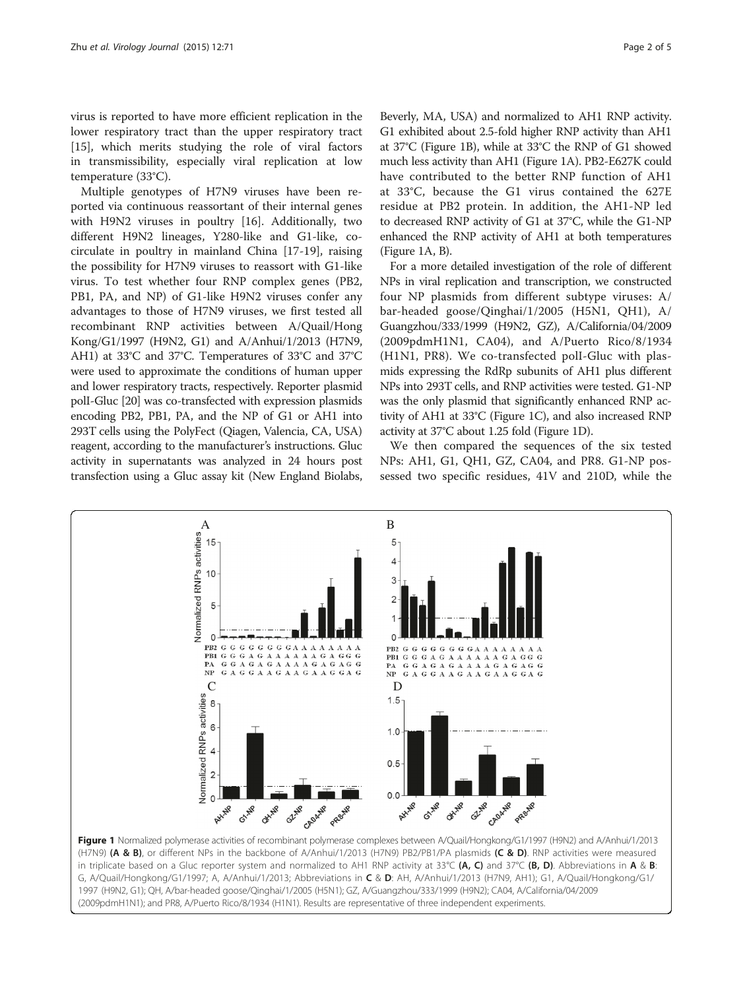virus is reported to have more efficient replication in the lower respiratory tract than the upper respiratory tract [[15\]](#page-4-0), which merits studying the role of viral factors in transmissibility, especially viral replication at low temperature (33°C).

Multiple genotypes of H7N9 viruses have been reported via continuous reassortant of their internal genes with H9N2 viruses in poultry [[16](#page-4-0)]. Additionally, two different H9N2 lineages, Y280-like and G1-like, cocirculate in poultry in mainland China [\[17](#page-4-0)-[19\]](#page-4-0), raising the possibility for H7N9 viruses to reassort with G1-like virus. To test whether four RNP complex genes (PB2, PB1, PA, and NP) of G1-like H9N2 viruses confer any advantages to those of H7N9 viruses, we first tested all recombinant RNP activities between A/Quail/Hong Kong/G1/1997 (H9N2, G1) and A/Anhui/1/2013 (H7N9, AH1) at 33°C and 37°C. Temperatures of 33°C and 37°C were used to approximate the conditions of human upper and lower respiratory tracts, respectively. Reporter plasmid polI-Gluc [\[20\]](#page-4-0) was co-transfected with expression plasmids encoding PB2, PB1, PA, and the NP of G1 or AH1 into 293T cells using the PolyFect (Qiagen, Valencia, CA, USA) reagent, according to the manufacturer's instructions. Gluc activity in supernatants was analyzed in 24 hours post transfection using a Gluc assay kit (New England Biolabs, Beverly, MA, USA) and normalized to AH1 RNP activity. G1 exhibited about 2.5-fold higher RNP activity than AH1 at 37°C (Figure 1B), while at 33°C the RNP of G1 showed much less activity than AH1 (Figure 1A). PB2-E627K could have contributed to the better RNP function of AH1 at 33°C, because the G1 virus contained the 627E residue at PB2 protein. In addition, the AH1-NP led to decreased RNP activity of G1 at 37°C, while the G1-NP enhanced the RNP activity of AH1 at both temperatures (Figure 1A, B).

For a more detailed investigation of the role of different NPs in viral replication and transcription, we constructed four NP plasmids from different subtype viruses: A/ bar-headed goose/Qinghai/1/2005 (H5N1, QH1), A/ Guangzhou/333/1999 (H9N2, GZ), A/California/04/2009 (2009pdmH1N1, CA04), and A/Puerto Rico/8/1934 (H1N1, PR8). We co-transfected polI-Gluc with plasmids expressing the RdRp subunits of AH1 plus different NPs into 293T cells, and RNP activities were tested. G1-NP was the only plasmid that significantly enhanced RNP activity of AH1 at 33°C (Figure 1C), and also increased RNP activity at 37°C about 1.25 fold (Figure 1D).

We then compared the sequences of the six tested NPs: AH1, G1, QH1, GZ, CA04, and PR8. G1-NP possessed two specific residues, 41V and 210D, while the



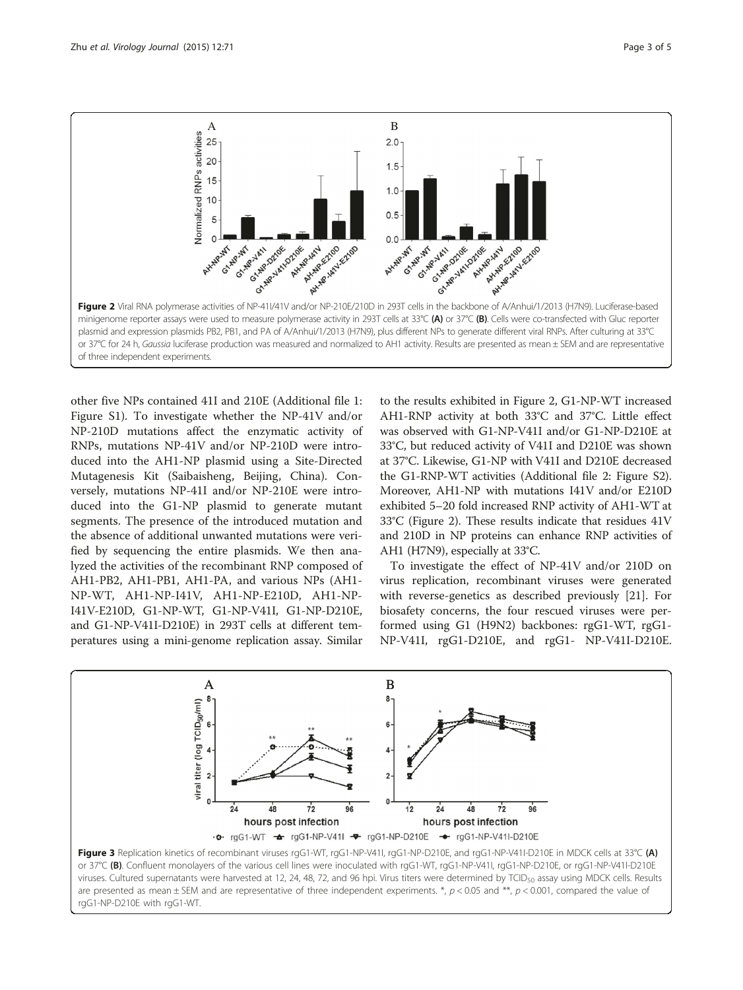<span id="page-2-0"></span>

other five NPs contained 41I and 210E (Additional file [1](#page-3-0): Figure S1). To investigate whether the NP-41V and/or NP-210D mutations affect the enzymatic activity of RNPs, mutations NP-41V and/or NP-210D were introduced into the AH1-NP plasmid using a Site-Directed Mutagenesis Kit (Saibaisheng, Beijing, China). Conversely, mutations NP-41I and/or NP-210E were introduced into the G1-NP plasmid to generate mutant segments. The presence of the introduced mutation and the absence of additional unwanted mutations were verified by sequencing the entire plasmids. We then analyzed the activities of the recombinant RNP composed of AH1-PB2, AH1-PB1, AH1-PA, and various NPs (AH1- NP-WT, AH1-NP-I41V, AH1-NP-E210D, AH1-NP-I41V-E210D, G1-NP-WT, G1-NP-V41I, G1-NP-D210E, and G1-NP-V41I-D210E) in 293T cells at different temperatures using a mini-genome replication assay. Similar

to the results exhibited in Figure 2, G1-NP-WT increased AH1-RNP activity at both 33°C and 37°C. Little effect was observed with G1-NP-V41I and/or G1-NP-D210E at 33°C, but reduced activity of V41I and D210E was shown at 37°C. Likewise, G1-NP with V41I and D210E decreased the G1-RNP-WT activities (Additional file [2:](#page-3-0) Figure S2). Moreover, AH1-NP with mutations I41V and/or E210D exhibited 5–20 fold increased RNP activity of AH1-WT at 33°C (Figure 2). These results indicate that residues 41V and 210D in NP proteins can enhance RNP activities of AH1 (H7N9), especially at 33°C.

To investigate the effect of NP-41V and/or 210D on virus replication, recombinant viruses were generated with reverse-genetics as described previously [[21](#page-4-0)]. For biosafety concerns, the four rescued viruses were performed using G1 (H9N2) backbones: rgG1-WT, rgG1- NP-V41I, rgG1-D210E, and rgG1- NP-V41I-D210E.



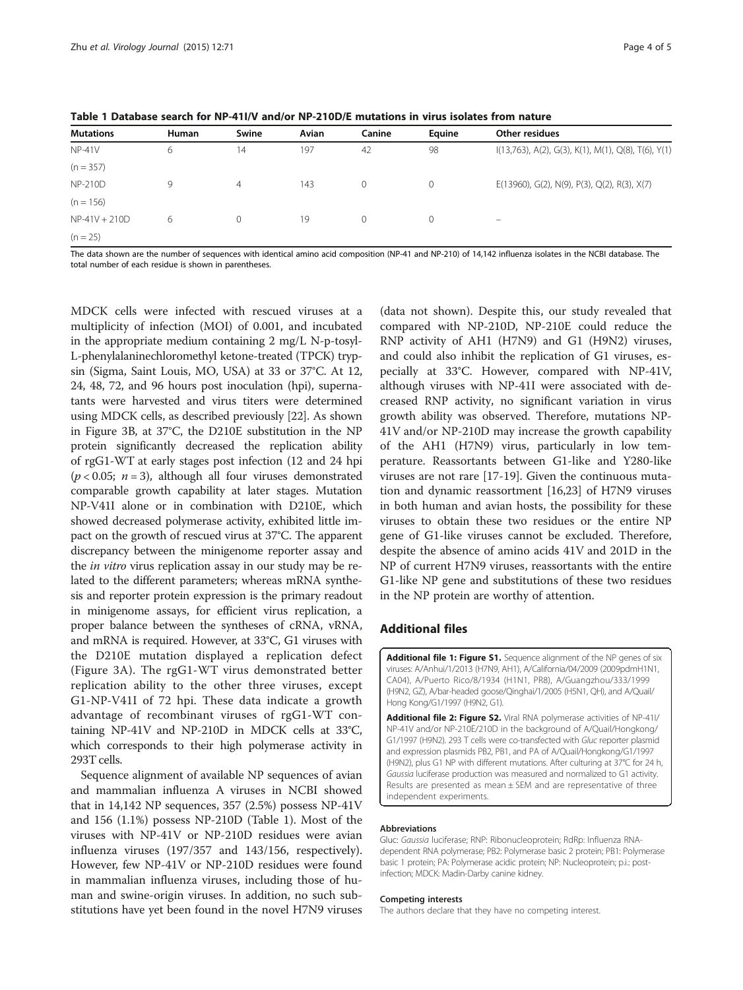| <b>Mutations</b> | Human | Swine    | Avian | Canine | Eauine       | Other residues                                         |
|------------------|-------|----------|-------|--------|--------------|--------------------------------------------------------|
| $NP-41V$         | 6     | 14       | 197   | 42     | 98           | $I(13,763)$ , A(2), G(3), K(1), M(1), Q(8), T(6), Y(1) |
| $(n = 357)$      |       |          |       |        |              |                                                        |
| <b>NP-210D</b>   | 9     | 4        | 143   | 0      | $\mathbf{0}$ | $E(13960)$ , G(2), N(9), P(3), Q(2), R(3), X(7)        |
| $(n = 156)$      |       |          |       |        |              |                                                        |
| $NP-41V + 210D$  | 6     | $\Omega$ | 19    | 0      | $\circ$      | -                                                      |
| $(n = 25)$       |       |          |       |        |              |                                                        |

<span id="page-3-0"></span>Table 1 Database search for NP-41I/V and/or NP-210D/E mutations in virus isolates from nature

The data shown are the number of sequences with identical amino acid composition (NP-41 and NP-210) of 14,142 influenza isolates in the NCBI database. The total number of each residue is shown in parentheses.

MDCK cells were infected with rescued viruses at a multiplicity of infection (MOI) of 0.001, and incubated in the appropriate medium containing 2 mg/L N-p-tosyl-L-phenylalaninechloromethyl ketone-treated (TPCK) trypsin (Sigma, Saint Louis, MO, USA) at 33 or 37°C. At 12, 24, 48, 72, and 96 hours post inoculation (hpi), supernatants were harvested and virus titers were determined using MDCK cells, as described previously [\[22\]](#page-4-0). As shown in Figure [3](#page-2-0)B, at 37°C, the D210E substitution in the NP protein significantly decreased the replication ability of rgG1-WT at early stages post infection (12 and 24 hpi  $(p < 0.05; n = 3)$ , although all four viruses demonstrated comparable growth capability at later stages. Mutation NP-V41I alone or in combination with D210E, which showed decreased polymerase activity, exhibited little impact on the growth of rescued virus at 37°C. The apparent discrepancy between the minigenome reporter assay and the in vitro virus replication assay in our study may be related to the different parameters; whereas mRNA synthesis and reporter protein expression is the primary readout in minigenome assays, for efficient virus replication, a proper balance between the syntheses of cRNA, vRNA, and mRNA is required. However, at 33°C, G1 viruses with the D210E mutation displayed a replication defect (Figure [3A](#page-2-0)). The rgG1-WT virus demonstrated better replication ability to the other three viruses, except G1-NP-V41I of 72 hpi. These data indicate a growth advantage of recombinant viruses of rgG1-WT containing NP-41V and NP-210D in MDCK cells at 33°C, which corresponds to their high polymerase activity in 293T cells.

Sequence alignment of available NP sequences of avian and mammalian influenza A viruses in NCBI showed that in 14,142 NP sequences, 357 (2.5%) possess NP-41V and 156 (1.1%) possess NP-210D (Table 1). Most of the viruses with NP-41V or NP-210D residues were avian influenza viruses (197/357 and 143/156, respectively). However, few NP-41V or NP-210D residues were found in mammalian influenza viruses, including those of human and swine-origin viruses. In addition, no such substitutions have yet been found in the novel H7N9 viruses

(data not shown). Despite this, our study revealed that compared with NP-210D, NP-210E could reduce the RNP activity of AH1 (H7N9) and G1 (H9N2) viruses, and could also inhibit the replication of G1 viruses, especially at 33°C. However, compared with NP-41V, although viruses with NP-41I were associated with decreased RNP activity, no significant variation in virus growth ability was observed. Therefore, mutations NP-41V and/or NP-210D may increase the growth capability of the AH1 (H7N9) virus, particularly in low temperature. Reassortants between G1-like and Y280-like viruses are not rare [\[17](#page-4-0)-[19\]](#page-4-0). Given the continuous mutation and dynamic reassortment [[16,23\]](#page-4-0) of H7N9 viruses in both human and avian hosts, the possibility for these viruses to obtain these two residues or the entire NP gene of G1-like viruses cannot be excluded. Therefore, despite the absence of amino acids 41V and 201D in the NP of current H7N9 viruses, reassortants with the entire G1-like NP gene and substitutions of these two residues in the NP protein are worthy of attention.

### Additional files

[Additional file 1: Figure S1.](http://www.virologyj.com/content/supplementary/s12985-015-0304-6-s1.pdf) Sequence alignment of the NP genes of six viruses: A/Anhui/1/2013 (H7N9, AH1), A/California/04/2009 (2009pdmH1N1, CA04), A/Puerto Rico/8/1934 (H1N1, PR8), A/Guangzhou/333/1999 (H9N2, GZ), A/bar-headed goose/Qinghai/1/2005 (H5N1, QH), and A/Quail/ Hong Kong/G1/1997 (H9N2, G1).

[Additional file 2: Figure S2.](http://www.virologyj.com/content/supplementary/s12985-015-0304-6-s2.pdf) Viral RNA polymerase activities of NP-41I/ NP-41V and/or NP-210E/210D in the background of A/Quail/Hongkong/ G1/1997 (H9N2). 293 T cells were co-transfected with Gluc reporter plasmid and expression plasmids PB2, PB1, and PA of A/Quail/Hongkong/G1/1997 (H9N2), plus G1 NP with different mutations. After culturing at 37°C for 24 h, Gaussia luciferase production was measured and normalized to G1 activity. Results are presented as mean  $\pm$  SEM and are representative of three independent experiments.

#### Abbreviations

Gluc: Gaussia luciferase; RNP: Ribonucleoprotein; RdRp: Influenza RNAdependent RNA polymerase; PB2: Polymerase basic 2 protein; PB1: Polymerase basic 1 protein; PA: Polymerase acidic protein; NP: Nucleoprotein; p.i.: postinfection; MDCK: Madin-Darby canine kidney.

#### Competing interests

The authors declare that they have no competing interest.